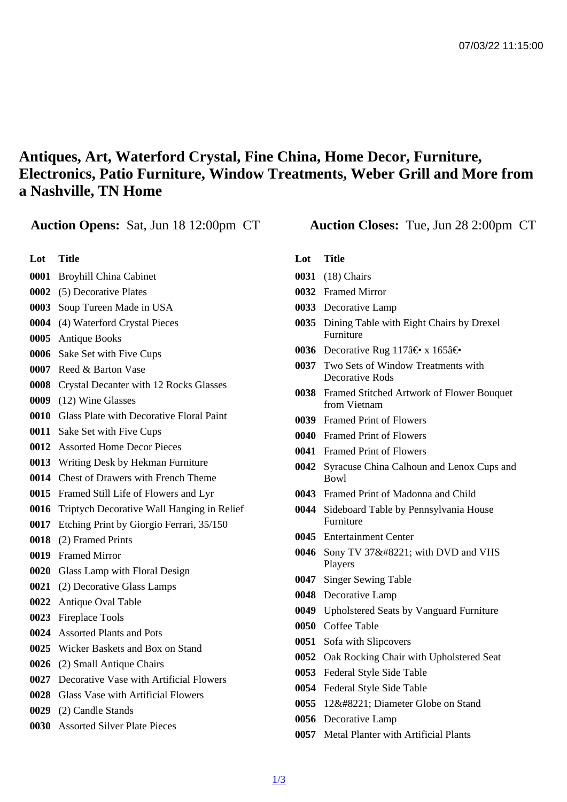## Antiques, Art, Waterford Crystal, Fine China, Home Decor, Furniture, Electronics, Patio Furniture, Window Treatments, Weber Grill and More from a Nashville, TN Home

## Auction Opens: Sat, Jun 18 12:00pm CT Auction Closes: Tue, Jun 28 2:00pm CT

- Lot Title
- Broyhill China Cabinet
- (5) Decorative Plates
- Soup Tureen Made in USA
- (4) Waterford Crystal Pieces
- Antique Books
- Sake Set with Five Cups
- Reed & Barton Vase
- Crystal Decanter with 12 Rocks Glasses
- (12) Wine Glasses
- Glass Plate with Decorative Floral Paint
- Sake Set with Five Cups
- Assorted Home Decor Pieces
- Writing Desk by Hekman Furniture
- Chest of Drawers with French Theme
- Framed Still Life of Flowers and Lyr
- Triptych Decorative Wall Hanging in Relief
- Etching Print by Giorgio Ferrari, 35/150
- (2) Framed Prints
- Framed Mirror
- Glass Lamp with Floral Design
- (2) Decorative Glass Lamps
- Antique Oval Table
- Fireplace Tools
- Assorted Plants and Pots
- Wicker Baskets and Box on Stand
- (2) Small Antique Chairs
- Decorative Vase with Artificial Flowers
- Glass Vase with Artificial Flowers
- (2) Candle Stands
- Assorted Silver Plate Pieces
- Lot Title
- (18) Chairs
- Framed Mirror
- Decorative Lamp
- Dining Table with Eight Chairs by Drexel **Furniture**
- 0036 Decorative Rug 117†x 165â€
- Two Sets of Window Treatments with Decorative Rods
- Framed Stitched Artwork of Flower Bouquet from Vietnam
- Framed Print of Flowers
- Framed Print of Flowers
- Framed Print of Flowers
- Syracuse China Calhoun and Lenox Cups and Bowl
- Framed Print of Madonna and Child
- Sideboard Table by Pennsylvania House **Furniture**
- Entertainment Center
- 0046 Sony TV 37" with DVD and VHS Players
- Singer Sewing Table
- Decorative Lamp
- Upholstered Seats by Vanguard Furniture
- Coffee Table
- Sofa with Slipcovers
- Oak Rocking Chair with Upholstered Seat
- Federal Style Side Table
- Federal Style Side Table
- 0055 12" Diameter Globe on Stand
- Decorative Lamp
- Metal Planter with Artificial Plants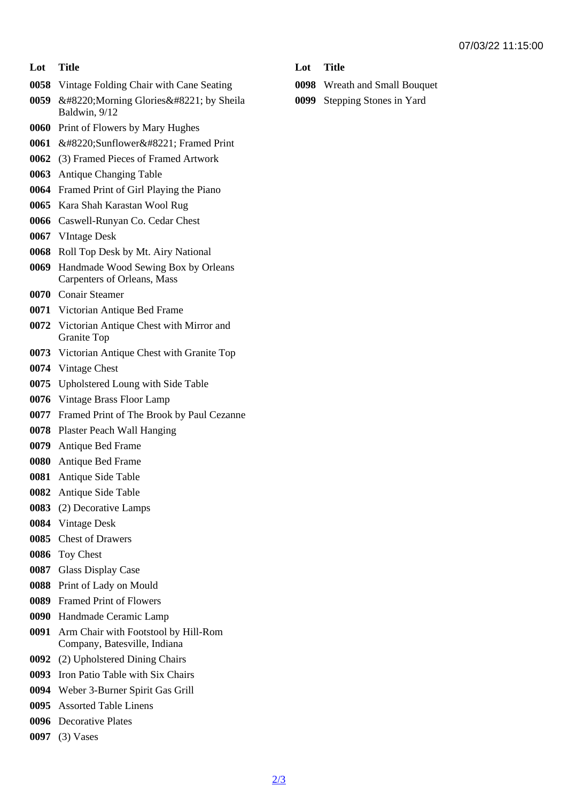## Lot Title

- Vintage Folding Chair with Cane Seating
- 0059 " Morning Glories " by Sheila Baldwin, 9/12
- Print of Flowers by Mary Hughes
- 0061 " Sunflower " Framed Print
- (3) Framed Pieces of Framed Artwork
- Antique Changing Table
- Framed Print of Girl Playing the Piano
- Kara Shah Karastan Wool Rug
- Caswell-Runyan Co. Cedar Chest
- VIntage Desk
- Roll Top Desk by Mt. Airy National
- Handmade Wood Sewing Box by Orleans Carpenters of Orleans, Mass
- Conair Steamer
- Victorian Antique Bed Frame
- Victorian Antique Chest with Mirror and Granite Top
- Victorian Antique Chest with Granite Top
- Vintage Chest
- Upholstered Loung with Side Table
- Vintage Brass Floor Lamp
- Framed Print of The Brook by Paul Cezanne
- Plaster Peach Wall Hanging
- Antique Bed Frame
- Antique Bed Frame
- Antique Side Table
- Antique Side Table
- (2) Decorative Lamps
- Vintage Desk
- Chest of Drawers
- Toy Chest
- Glass Display Case
- Print of Lady on Mould
- Framed Print of Flowers
- Handmade Ceramic Lamp
- Arm Chair with Footstool by Hill-Rom Company, Batesville, Indiana
- (2) Upholstered Dining Chairs
- Iron Patio Table with Six Chairs
- Weber 3-Burner Spirit Gas Grill
- Assorted Table Linens
- Decorative Plates
- (3) Vases
- Lot Title
- Wreath and Small Bouquet
- Stepping Stones in Yard